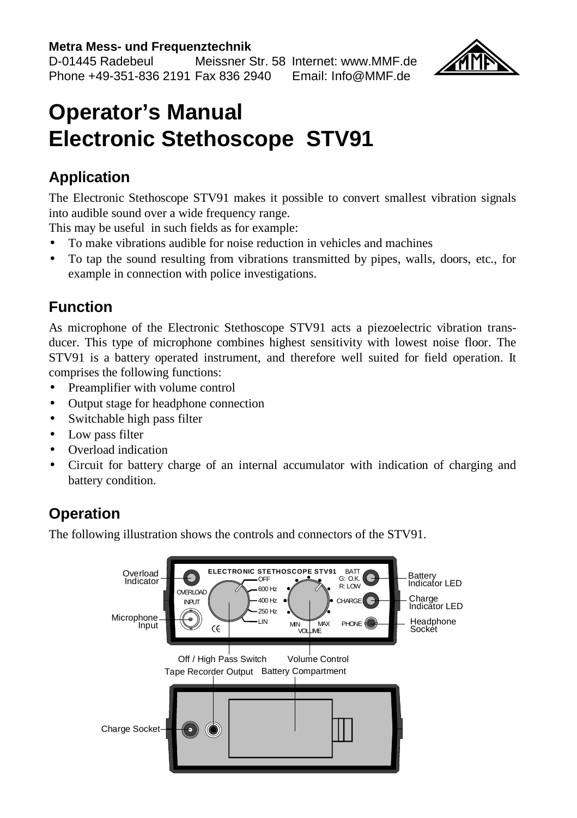#### **Metra Mess- und Frequenztechnik**

D-01445 Radebeul Meissner Str. 58 Internet: www.MMF.de Phone +49-351-836 2191 Fax 836 2940 Email: Info@MMF.de



# **Operator's Manual Electronic Stethoscope STV91**

## **Application**

The Electronic Stethoscope STV91 makes it possible to convert smallest vibration signals into audible sound over a wide frequency range.

This may be useful in such fields as for example:

- To make vibrations audible for noise reduction in vehicles and machines
- To tap the sound resulting from vibrations transmitted by pipes, walls, doors, etc., for example in connection with police investigations.

#### **Function**

As microphone of the Electronic Stethoscope STV91 acts a piezoelectric vibration transducer. This type of microphone combines highest sensitivity with lowest noise floor. The STV91 is a battery operated instrument, and therefore well suited for field operation. It comprises the following functions:

- Preamplifier with volume control
- Output stage for headphone connection
- Switchable high pass filter
- Low pass filter
- Overload indication
- Circuit for battery charge of an internal accumulator with indication of charging and battery condition.

## **Operation**

The following illustration shows the controls and connectors of the STV91.

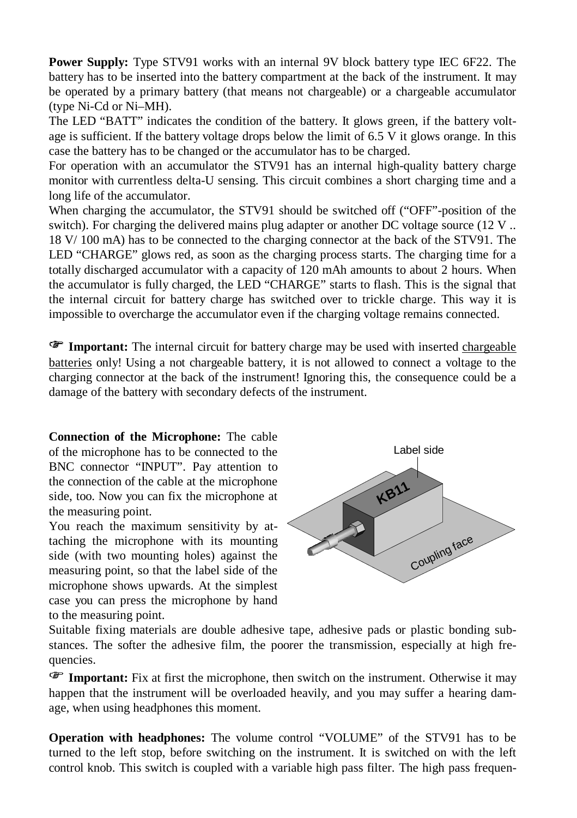**Power Supply:** Type STV91 works with an internal 9V block battery type IEC 6F22. The battery has to be inserted into the battery compartment at the back of the instrument. It may be operated by a primary battery (that means not chargeable) or a chargeable accumulator (type Ni-Cd or Ni–MH).

The LED "BATT" indicates the condition of the battery. It glows green, if the battery voltage is sufficient. If the battery voltage drops below the limit of 6.5 V it glows orange. In this case the battery has to be changed or the accumulator has to be charged.

For operation with an accumulator the STV91 has an internal high-quality battery charge monitor with currentless delta-U sensing. This circuit combines a short charging time and a long life of the accumulator.

When charging the accumulator, the STV91 should be switched off ("OFF"-position of the switch). For charging the delivered mains plug adapter or another DC voltage source (12 V .. 18 V/ 100 mA) has to be connected to the charging connector at the back of the STV91. The LED "CHARGE" glows red, as soon as the charging process starts. The charging time for a totally discharged accumulator with a capacity of 120 mAh amounts to about 2 hours. When the accumulator is fully charged, the LED "CHARGE" starts to flash. This is the signal that the internal circuit for battery charge has switched over to trickle charge. This way it is impossible to overcharge the accumulator even if the charging voltage remains connected.

**Important:** The internal circuit for battery charge may be used with inserted chargeable batteries only! Using a not chargeable battery, it is not allowed to connect a voltage to the charging connector at the back of the instrument! Ignoring this, the consequence could be a damage of the battery with secondary defects of the instrument.

**Connection of the Microphone:** The cable of the microphone has to be connected to the BNC connector "INPUT". Pay attention to the connection of the cable at the microphone side, too. Now you can fix the microphone at the measuring point.

You reach the maximum sensitivity by attaching the microphone with its mounting side (with two mounting holes) against the measuring point, so that the label side of the microphone shows upwards. At the simplest case you can press the microphone by hand to the measuring point.



Suitable fixing materials are double adhesive tape, adhesive pads or plastic bonding substances. The softer the adhesive film, the poorer the transmission, especially at high frequencies.

**Important:** Fix at first the microphone, then switch on the instrument. Otherwise it may happen that the instrument will be overloaded heavily, and you may suffer a hearing damage, when using headphones this moment.

**Operation with headphones:** The volume control "VOLUME" of the STV91 has to be turned to the left stop, before switching on the instrument. It is switched on with the left control knob. This switch is coupled with a variable high pass filter. The high pass frequen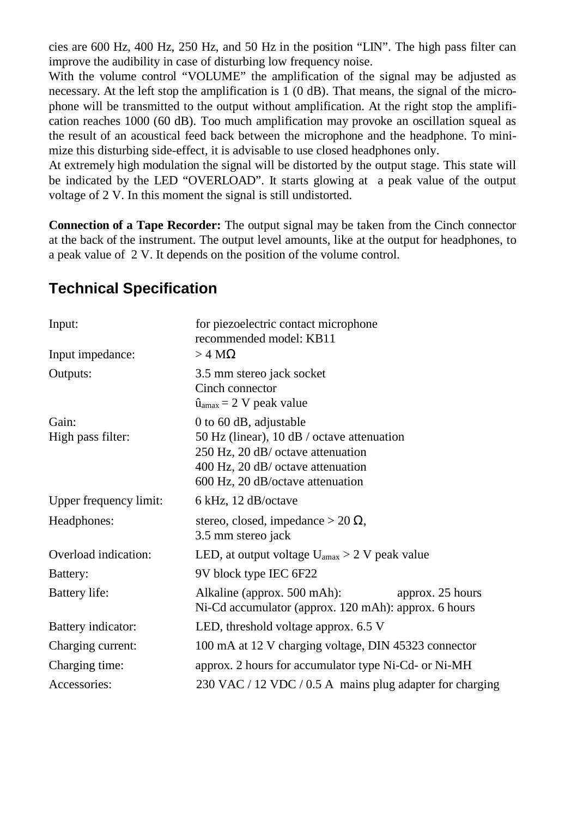cies are 600 Hz, 400 Hz, 250 Hz, and 50 Hz in the position "LIN". The high pass filter can improve the audibility in case of disturbing low frequency noise.

With the volume control "VOLUME" the amplification of the signal may be adjusted as necessary. At the left stop the amplification is 1 (0 dB). That means, the signal of the microphone will be transmitted to the output without amplification. At the right stop the amplification reaches 1000 (60 dB). Too much amplification may provoke an oscillation squeal as the result of an acoustical feed back between the microphone and the headphone. To minimize this disturbing side-effect, it is advisable to use closed headphones only.

At extremely high modulation the signal will be distorted by the output stage. This state will be indicated by the LED "OVERLOAD". It starts glowing at a peak value of the output voltage of 2 V. In this moment the signal is still undistorted.

**Connection of a Tape Recorder:** The output signal may be taken from the Cinch connector at the back of the instrument. The output level amounts, like at the output for headphones, to a peak value of 2 V. It depends on the position of the volume control.

#### **Technical Specification**

| Input:                     | for piezoelectric contact microphone<br>recommended model: KB11                                                                                                                    |
|----------------------------|------------------------------------------------------------------------------------------------------------------------------------------------------------------------------------|
| Input impedance:           | $>$ 4 M $\Omega$                                                                                                                                                                   |
| Outputs:                   | 3.5 mm stereo jack socket<br>Cinch connector<br>$\hat{u}_{\text{amax}} = 2$ V peak value                                                                                           |
| Gain:<br>High pass filter: | 0 to 60 dB, adjustable<br>50 Hz (linear), 10 dB / octave attenuation<br>250 Hz, 20 dB/ octave attenuation<br>400 Hz, 20 dB/ octave attenuation<br>600 Hz, 20 dB/octave attenuation |
| Upper frequency limit:     | 6 kHz, 12 dB/octave                                                                                                                                                                |
| Headphones:                | stereo, closed, impedance > 20 $\Omega$ ,<br>3.5 mm stereo jack                                                                                                                    |
| Overload indication:       | LED, at output voltage $U_{\text{amax}} > 2$ V peak value                                                                                                                          |
| Battery:                   | 9V block type IEC 6F22                                                                                                                                                             |
| Battery life:              | Alkaline (approx. 500 mAh):<br>approx. 25 hours<br>Ni-Cd accumulator (approx. 120 mAh): approx. 6 hours                                                                            |
| Battery indicator:         | LED, threshold voltage approx. 6.5 V                                                                                                                                               |
| Charging current:          | 100 mA at 12 V charging voltage, DIN 45323 connector                                                                                                                               |
| Charging time:             | approx. 2 hours for accumulator type Ni-Cd- or Ni-MH                                                                                                                               |
| Accessories:               | 230 VAC / 12 VDC / 0.5 A mains plug adapter for charging                                                                                                                           |